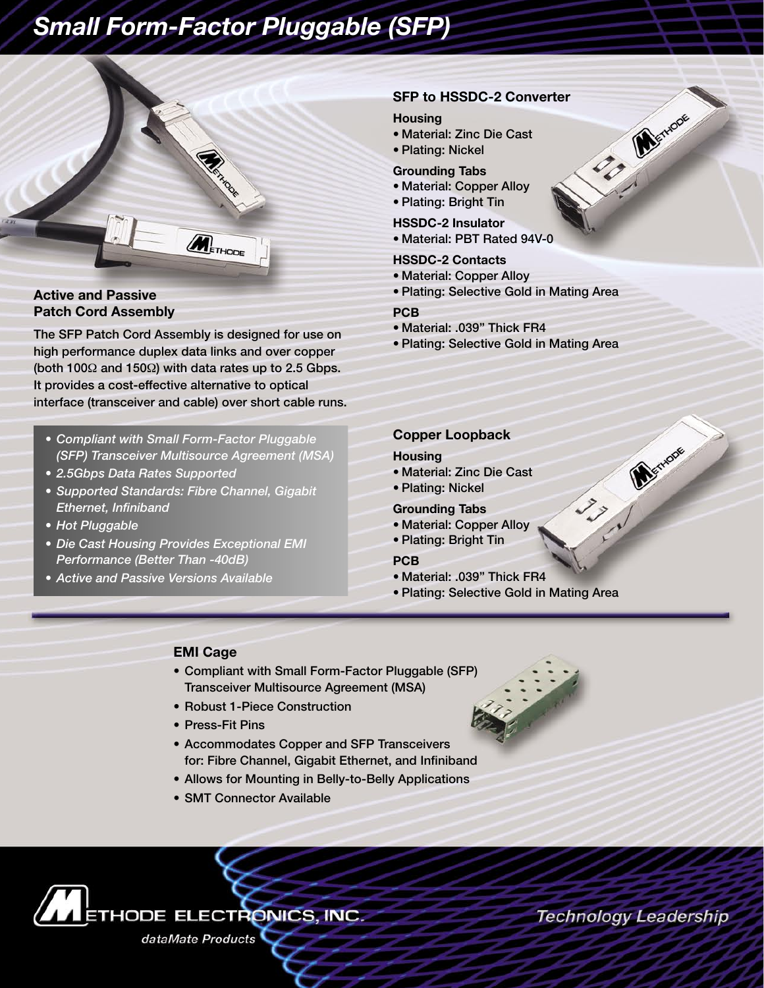# *Small Form-Factor Pluggable (SFP)*



#### **Active and Passive Patch Cord Assembly**

The SFP Patch Cord Assembly is designed for use on high performance duplex data links and over copper (both 100Ω and 150Ω) with data rates up to 2.5 Gbps. It provides a cost-effective alternative to optical interface (transceiver and cable) over short cable runs.

- *Compliant with Small Form-Factor Pluggable (SFP) Transceiver Multisource Agreement (MSA)*
- *2.5Gbps Data Rates Supported*
- *Supported Standards: Fibre Channel, Gigabit Ethernet, Infiniband*
- *Hot Pluggable*
- *Die Cast Housing Provides Exceptional EMI Performance (Better Than -40dB)*
- *Active and Passive Versions Available*

#### **SFP to HSSDC-2 Converter**

#### **Housing**

- Material: Zinc Die Cast
- Plating: Nickel

#### **Grounding Tabs**

- Material: Copper Alloy
- Plating: Bright Tin

#### **HSSDC-2 Insulator**

• Material: PBT Rated 94V-0

#### **HSSDC-2 Contacts**

- Material: Copper Alloy
- Plating: Selective Gold in Mating Area

#### **PCB**

- Material: .039" Thick FR4
- Plating: Selective Gold in Mating Area

#### **Copper Loopback**

#### **Housing**

- Material: Zinc Die Cast
- Plating: Nickel

#### **Grounding Tabs**

- Material: Copper Alloy
- Plating: Bright Tin

#### **PCB**

- Material: .039" Thick FR4
- Plating: Selective Gold in Mating Area

#### **EMI Cage**

- Compliant with Small Form-Factor Pluggable (SFP) Transceiver Multisource Agreement (MSA)
- Robust 1-Piece Construction
- Press-Fit Pins
- Accommodates Copper and SFP Transceivers for: Fibre Channel, Gigabit Ethernet, and Infiniband
- Allows for Mounting in Belly-to-Belly Applications
- SMT Connector Available





Technology Leadership

133 Martin

CO Merida